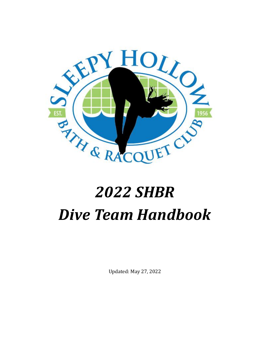

# *2022 SHBR Dive Team Handbook*

Updated: May 27, 2022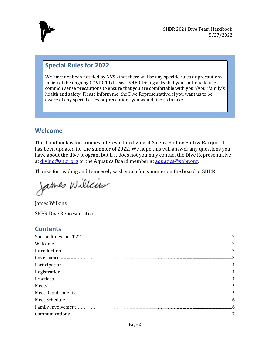

## <span id="page-1-0"></span>**Special Rules for 2022**

We have not been notified by NVSL that there will be any specific rules or precautions in lieu of the ongoing COVID-19 disease. SHBR Diving asks that you continue to use common sense precautions to ensure that you are comfortable with your/your family's health and safety. Please inform me, the Dive Representative, if you want us to be aware of any special cases or precautions you would like us to take.

## <span id="page-1-1"></span>**Welcome**

This handbook is for families interested in diving at Sleepy Hollow Bath & Racquet. It has been updated for the summer of 2022. We hope this will answer any questions you have about the dive program but if it does not you may contact the Dive Representative at [diving@shbr.org](mailto:diving@shbr.org) or the Aquatics Board member at [aquatics@shbr.org.](mailto:aquatics@shbr.org)

Thanks for reading and I sincerely wish you a fun summer on the board at SHBR!

James Willis

James Wilkins

SHBR Dive Representative

### **Contents**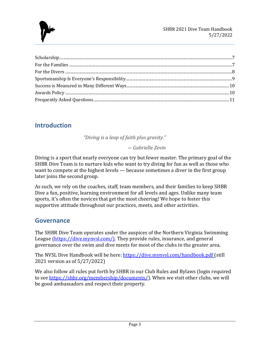

## <span id="page-2-0"></span>**Introduction**

*"Diving is a leap of faith plus gravity."*

*― Gabrielle Zevin*

Diving is a sport that nearly everyone can try but fewer master. The primary goal of the SHBR Dive Team is to nurture kids who want to try diving for fun as well as those who want to compete at the highest levels — because sometimes a diver in the first group later joins the second group.

As such, we rely on the coaches, staff, team members, and their families to keep SHBR Dive a fun, positive, learning environment for all levels and ages. Unlike many team sports, it's often the novices that get the most cheering! We hope to foster this supportive attitude throughout our practices, meets, and other activities.

## <span id="page-2-1"></span>**Governance**

The SHBR Dive Team operates under the auspices of the Northern Virginia Swimming League (https://dive.mynysl.com/). They provide rules, insurance, and general governance over the swim and dive meets for most of the clubs in the greater area.

The NVSL Dive Handbook will be here: https://dive.mynysl.com/handbook.pdf (still 2021 version as of 5/27/2022)

We also follow all rules put forth by SHBR in our Club Rules and Bylaws (login required to see [https://shbr.org/membership/documents/\)](https://shbr.org/membership/documents/). When we visit other clubs, we will be good ambassadors and respect their property.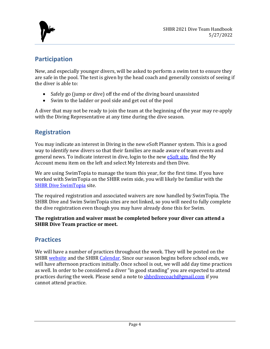

## <span id="page-3-0"></span>**Participation**

New, and especially younger divers, will be asked to perform a swim test to ensure they are safe in the pool. The test is given by the head coach and generally consists of seeing if the diver is able to:

- Safely go (jump or dive) off the end of the diving board unassisted
- Swim to the ladder or pool side and get out of the pool

A diver that may not be ready to join the team at the beginning of the year may re-apply with the Diving Representative at any time during the dive season.

# <span id="page-3-1"></span>**Registration**

You may indicate an interest in Diving in the new eSoft Planner system. This is a good way to identify new divers so that their families are made aware of team events and general news. To indicate interest in dive, login to the new [eSoft site,](https://www.esoftplanner.com/v3/planner/login.php?access=0dG81LSVxNmo65bIxGiCx5mJqA==) find the My Account menu item on the left and select My Interests and then Dive.

We are using SwimTopia to manage the team this year, for the first time. If you have worked with SwimTopia on the SHBR swim side, you will likely be familiar with the [SHBR Dive SwimTopia](https://shbrdive.swimtopia.com/) site.

The required registration and associated waivers are now handled by SwimTopia. The SHBR Dive and Swim SwimTopia sites are not linked, so you will need to fully complete the dive registration even though you may have already done this for Swim.

**The registration and waiver must be completed before your diver can attend a SHBR Dive Team practice or meet.**

# <span id="page-3-2"></span>**Practices**

We will have a number of practices throughout the week. They will be posted on the SHBR [website](https://shbr.org/dive/dive-team/) and the SHBR [Calendar.](https://calendar.google.com/calendar?cid=c2hicnNlYWxzQGdtYWlsLmNvbQ) Since our season begins before school ends, we will have afternoon practices initially. Once school is out, we will add day time practices as well. In order to be considered a diver "in good standing" you are expected to attend practices during the week. Please send a note to [shbrdivecoach@gmail.com](mailto:shbrdivecoach@gmail.com) if you cannot attend practice.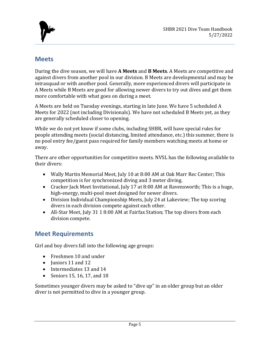

## <span id="page-4-0"></span>**Meets**

During the dive season, we will have **A Meets** and **B Meets**. A Meets are competitive and against divers from another pool in our division. B Meets are developmental and may be intrasquad or with another pool. Generally, more experienced divers will participate in A Meets while B Meets are good for allowing newer divers to try out dives and get them more comfortable with what goes on during a meet.

A Meets are held on Tuesday evenings, starting in late June. We have 5 scheduled A Meets for 2022 (not including Divisionals). We have not scheduled B Meets yet, as they are generally scheduled closer to opening.

While we do not yet know if some clubs, including SHBR, will have special rules for people attending meets (social distancing, limited attendance, etc.) this summer, there is no pool entry fee/guest pass required for family members watching meets at home or away.

There are other opportunities for competitive meets. NVSL has the following available to their divers:

- Wally Martin Memorial Meet, July 10 at 8:00 AM at Oak Marr Rec Center; This competition is for synchronized diving and 3 meter diving.
- Cracker Jack Meet Invitational, July 17 at 8:00 AM at Ravensworth; This is a huge, high-energy, multi-pool meet designed for newer divers.
- Division Individual Championship Meets, July 24 at Lakeview; The top scoring divers in each division compete against each other.
- All-Star Meet, July 31 1 8:00 AM at Fairfax Station; The top divers from each division compete.

## <span id="page-4-1"></span>**Meet Requirements**

Girl and boy divers fall into the following age groups:

- Freshmen 10 and under
- Iuniors 11 and 12
- Intermediates 13 and 14
- Seniors 15, 16, 17, and 18

Sometimes younger divers may be asked to "dive up" in an older group but an older diver is not permitted to dive in a younger group.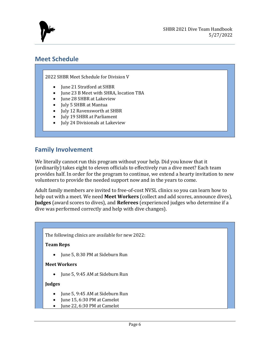

## <span id="page-5-0"></span>**Meet Schedule**

2022 SHBR Meet Schedule for Division V

- June 21 Stratford at SHBR
- June 23 B Meet with SHRA, location TBA
- June 28 SHBR at Lakeview
- July 5 SHBR at Mantua
- July 12 Ravensworth at SHBR
- July 19 SHBR at Parliament
- July 24 Divisionals at Lakeview

## <span id="page-5-1"></span>**Family Involvement**

We literally cannot run this program without your help. Did you know that it (ordinarily) takes eight to eleven officials to effectively run a dive meet? Each team provides half. In order for the program to continue, we extend a hearty invitation to new volunteers to provide the needed support now and in the years to come.

Adult family members are invited to free-of-cost NVSL clinics so you can learn how to help out with a meet. We need **Meet Workers** (collect and add scores, announce dives), **Judges** (award scores to dives), and **Referees** (experienced judges who determine if a dive was performed correctly and help with dive changes).

The following clinics are available for new 2022:

#### **Team Reps**

• June 5, 8:30 PM at Sideburn Run

#### **Meet Workers**

• June 5, 9:45 AM at Sideburn Run

#### **Judges**

- June 5, 9:45 AM at Sideburn Run
- June 15, 6:30 PM at Camelot
- June 22, 6:30 PM at Camelot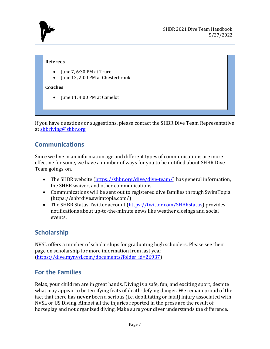

#### **Referees**

- June 7, 6:30 PM at Truro
- June 12, 2:00 PM at Chesterbrook

#### **Coaches**

June 11, 4:00 PM at Camelot

If you have questions or suggestions, please contact the SHBR Dive Team Representative at [shbriving@shbr.org.](mailto:shbriving@shbr.org)

# <span id="page-6-0"></span>**Communications**

Since we live in an information age and different types of communications are more effective for some, we have a number of ways for you to be notified about SHBR Dive Team goings-on.

- The SHBR website [\(https://shbr.org/dive/dive-team/\)](https://shbr.org/dive/dive-team/) has general information, the SHBR waiver, and other communications.
- Communications will be sent out to registered dive families through SwimTopia (https://shbrdive.swimtopia.com/)
- The SHBR Status Twitter account [\(https://twitter.com/SHBRstatus\)](https://twitter.com/SHBRstatus) provides notifications about up-to-the-minute news like weather closings and social events.

# <span id="page-6-1"></span>**Scholarship**

NVSL offers a number of scholarships for graduating high schoolers. Please see their page on scholarship for more information from last year [\(https://dive.mynvsl.com/documents?folder\\_id=26937\)](https://dive.mynvsl.com/documents?folder_id=26937)

# <span id="page-6-2"></span>**For the Families**

Relax, your children are in great hands. Diving is a safe, fun, and exciting sport, despite what may appear to be terrifying feats of death-defying danger. We remain proud of the fact that there has **never** been a serious (i.e. debilitating or fatal) injury associated with NVSL or US Diving. Almost all the injuries reported in the press are the result of horseplay and not organized diving. Make sure your diver understands the difference.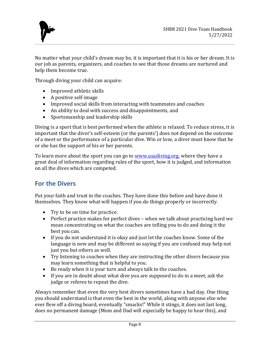

No matter what your child's dream may be, it is important that it is his or her dream. It is our job as parents, organizers, and coaches to see that those dreams are nurtured and help them become true.

Through diving your child can acquire:

- Improved athletic skills
- A positive self-image
- Improved social skills from interacting with teammates and coaches
- An ability to deal with success and disappointments, and
- Sportsmanship and leadership skills

Diving is a sport that is best performed when the athlete is relaxed. To reduce stress, it is important that the diver's self-esteem (or the parents') does not depend on the outcome of a meet or the performance of a particular dive. Win or lose, a diver must know that he or she has the support of his or her parents.

To learn more about the sport you can go to [www.usadiving.org,](http://www.usadiving.org/) where they have a great deal of information regarding rules of the sport, how it is judged, and information on all the dives which are competed.

# <span id="page-7-0"></span>**For the Divers**

Put your faith and trust in the coaches. They have done this before and have done it themselves. They know what will happen if you do things properly or incorrectly.

- Try to be on time for practice.
- Perfect practice makes for perfect dives when we talk about practicing hard we mean concentrating on what the coaches are telling you to do and doing it the best you can.
- If you do not understand it is okay and just let the coaches know. Some of the language is new and may be different so saying if you are confused may help not just you but others as well.
- Try listening to coaches when they are instructing the other divers because you may learn something that is helpful to you.
- Be ready when it is your turn and always talk to the coaches.
- If you are in doubt about what dive you are supposed to do in a meet, ask the judge or referee to repeat the dive.

Always remember that even the very best divers sometimes have a bad day. One thing you should understand is that even the best in the world, along with anyone else who ever flew off a diving board, eventually "smacks!" While it stings, it does not last long, does no permanent damage (Mom and Dad will especially be happy to hear this), and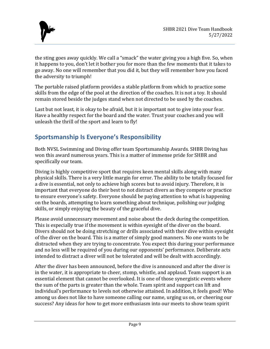

the sting goes away quickly. We call a "smack" the water giving you a high five. So, when it happens to you, don't let it bother you for more than the few moments that it takes to go away. No one will remember that you did it, but they will remember how you faced the adversity to triumph!

The portable raised platform provides a stable platform from which to practice some skills from the edge of the pool at the direction of the coaches. It is not a toy. It should remain stored beside the judges stand when not directed to be used by the coaches.

Last but not least, it is okay to be afraid, but it is important not to give into your fear. Have a healthy respect for the board and the water. Trust your coaches and you will unleash the thrill of the sport and learn to fly!

# <span id="page-8-0"></span>**Sportsmanship Is Everyone's Responsibility**

Both NVSL Swimming and Diving offer team Sportsmanship Awards. SHBR Diving has won this award numerous years. This is a matter of immense pride for SHBR and specifically our team.

Diving is highly competitive sport that requires keen mental skills along with many physical skills. There is a very little margin for error. The ability to be totally focused for a dive is essential, not only to achieve high scores but to avoid injury. Therefore, it is important that everyone do their best to not distract divers as they compete or practice to ensure everyone's safety. Everyone should be paying attention to what is happening on the boards, attempting to learn something about technique, polishing our judging skills, or simply enjoying the beauty of the graceful dive.

Please avoid unnecessary movement and noise about the deck during the competition. This is especially true if the movement is within eyesight of the diver on the board. Divers should not be doing stretching or drills associated with their dive within eyesight of the diver on the board. This is a matter of simply good manners. No one wants to be distracted when they are trying to concentrate. You expect this during your performance and no less will be required of you during our opponents' performance. Deliberate acts intended to distract a diver will not be tolerated and will be dealt with accordingly.

After the diver has been announced, before the dive is announced and after the diver is in the water, it is appropriate to cheer, stomp, whistle, and applaud. Team support is an essential element that cannot be overlooked. It is one of those synergistic events where the sum of the parts is greater than the whole. Team spirit and support can lift and individual's performance to levels not otherwise attained. In addition, it feels good! Who among us does not like to have someone calling our name, urging us on, or cheering our success? Any ideas for how to get more enthusiasm into our meets to show team spirit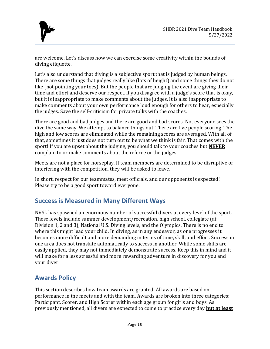

are welcome. Let's discuss how we can exercise some creativity within the bounds of diving etiquette.

Let's also understand that diving is a subjective sport that is judged by human beings. There are some things that judges really like (lots of height) and some things they do not like (not pointing your toes). But the people that are judging the event are giving their time and effort and deserve our respect. If you disagree with a judge's score that is okay, but it is inappropriate to make comments about the judges. It is also inappropriate to make comments about your own performance loud enough for others to hear, especially the judges. Save the self-criticism for private talks with the coaches.

There are good and bad judges and there are good and bad scores. Not everyone sees the dive the same way. We attempt to balance things out. There are five people scoring. The high and low scores are eliminated while the remaining scores are averaged. With all of that, sometimes it just does not turn out to be what we think is fair. That comes with the sport! If you are upset about the judging, you should talk to your coaches but **NEVER** complain to or make comments about the referee or the judges.

Meets are not a place for horseplay. If team members are determined to be disruptive or interfering with the competition, they will be asked to leave.

In short, respect for our teammates, meet officials, and our opponents is expected! Please try to be a good sport toward everyone.

# <span id="page-9-0"></span>**Success is Measured in Many Different Ways**

NVSL has spawned an enormous number of successful divers at every level of the sport. These levels include summer development/recreation, high school, collegiate (at Division 1, 2 and 3), National U.S. Diving levels, and the Olympics. There is no end to where this might lead your child. In diving, as in any endeavor, as one progresses it becomes more difficult and more demanding in terms of time, skill, and effort. Success in one area does not translate automatically to success in another. While some skills are easily applied, they may not immediately demonstrate success. Keep this in mind and it will make for a less stressful and more rewarding adventure in discovery for you and your diver.

# <span id="page-9-1"></span>**Awards Policy**

This section describes how team awards are granted. All awards are based on performance in the meets and with the team. Awards are broken into three categories: Participant, Scorer, and High Scorer within each age group for girls and boys. As previously mentioned, all divers are expected to come to practice every day **but at least**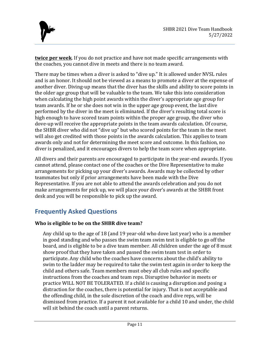

**twice per week**. If you do not practice and have not made specific arrangements with the coaches, you cannot dive in meets and there is no team award.

There may be times when a diver is asked to "dive up." It is allowed under NVSL rules and is an honor. It should not be viewed as a means to promote a diver at the expense of another diver. Diving-up means that the diver has the skills and ability to score points in the older age group that will be valuable to the team. We take this into consideration when calculating the high point awards within the diver's appropriate age group for team awards. If he or she does not win in the upper age group event, the last dive performed by the diver in the meet is eliminated. If the diver's resulting total score is high enough to have scored team points within the proper age group, the diver who dove-up will receive the appropriate points in the team awards calculation. Of course, the SHBR diver who did not "dive up" but who scored points for the team in the meet will also get credited with those points in the awards calculation. This applies to team awards only and not for determining the meet score and outcome. In this fashion, no diver is penalized, and it encourages divers to help the team score when appropriate.

All divers and their parents are encouraged to participate in the year-end awards. If you cannot attend, please contact one of the coaches or the Dive Representative to make arrangements for picking up your diver's awards. Awards may be collected by other teammates but only if prior arrangements have been made with the Dive Representative. If you are not able to attend the awards celebration and you do not make arrangements for pick up, we will place your diver's awards at the SHBR front desk and you will be responsible to pick up the award.

# <span id="page-10-0"></span>**Frequently Asked Questions**

#### **Who is eligible to be on the SHBR dive team?**

Any child up to the age of 18 (and 19 year-old who dove last year) who is a member in good standing and who passes the swim team swim test is eligible to go off the board, and is eligible to be a dive team member. All children under the age of 8 must show proof that they have taken and passed the swim team test in order to participate. Any child who the coaches have concerns about the child's ability to swim to the ladder may be required to take the swim test again in order to keep the child and others safe. Team members must obey all club rules and specific instructions from the coaches and team reps. Disruptive behavior in meets or practice WILL NOT BE TOLERATED. If a child is causing a disruption and posing a distraction for the coaches, there is potential for injury. That is not acceptable and the offending child, in the sole discretion of the coach and dive reps, will be dismissed from practice. If a parent it not available for a child 10 and under, the child will sit behind the coach until a parent returns.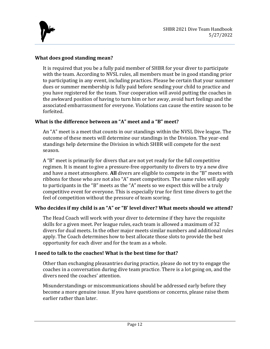

#### **What does good standing mean?**

It is required that you be a fully paid member of SHBR for your diver to participate with the team. According to NVSL rules, all members must be in good standing prior to participating in any event, including practices. Please be certain that your summer dues or summer membership is fully paid before sending your child to practice and you have registered for the team. Your cooperation will avoid putting the coaches in the awkward position of having to turn him or her away, avoid hurt feelings and the associated embarrassment for everyone. Violations can cause the entire season to be forfeited.

#### **What is the difference between an "A" meet and a "B" meet?**

An "A" meet is a meet that counts in our standings within the NVSL Dive league. The outcome of these meets will determine our standings in the Division. The year-end standings help determine the Division in which SHBR will compete for the next season.

A "B" meet is primarily for divers that are not yet ready for the full competitive regimen. It is meant to give a pressure-free opportunity to divers to try a new dive and have a meet atmosphere. **All** divers are eligible to compete in the "B" meets with ribbons for those who are not also "A" meet competitors. The same rules will apply to participants in the "B" meets as the "A" meets so we expect this will be a truly competitive event for everyone. This is especially true for first time divers to get the feel of competition without the pressure of team scoring.

#### **Who decides if my child is an "A" or "B' level diver? What meets should we attend?**

The Head Coach will work with your diver to determine if they have the requisite skills for a given meet. Per league rules, each team is allowed a maximum of 32 divers for dual meets. In the other major meets similar numbers and additional rules apply. The Coach determines how to best allocate those slots to provide the best opportunity for each diver and for the team as a whole.

#### **I need to talk to the coaches! What is the best time for that?**

Other than exchanging pleasantries during practice, please do not try to engage the coaches in a conversation during dive team practice. There is a lot going on, and the divers need the coaches' attention.

Misunderstandings or miscommunications should be addressed early before they become a more genuine issue. If you have questions or concerns, please raise them earlier rather than later.